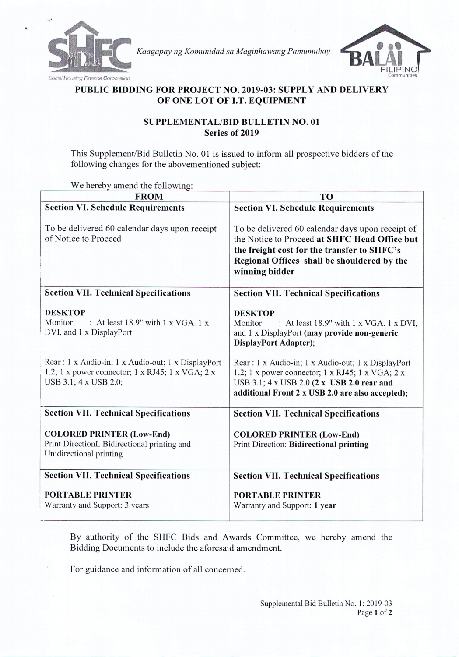

*Kaagapay ng Komunidad sa Maginhawang Pamumuhay*



## PUBLIC BIDDING FOR PROJECT NO. 2019-03: SUPPLY AND DELIVERY OF ONE LOT OF LT. EQUIPMENT

## SUPPLEMENT AL/BID BULLETIN NO. 01 Series of 2019

This Supplement/Bid Bulletin No. 01 is issued to inform all prospective bidders of the following changes for the abovementioned subject:

We hereby amend the following:

| <b>FROM</b>                                                                                                                     | <b>TO</b>                                                                                                                                                                                                         |
|---------------------------------------------------------------------------------------------------------------------------------|-------------------------------------------------------------------------------------------------------------------------------------------------------------------------------------------------------------------|
| <b>Section VI. Schedule Requirements</b>                                                                                        | <b>Section VI. Schedule Requirements</b>                                                                                                                                                                          |
| To be delivered 60 calendar days upon receipt<br>of Notice to Proceed                                                           | To be delivered 60 calendar days upon receipt of<br>the Notice to Proceed at SHFC Head Office but<br>the freight cost for the transfer to SHFC's<br>Regional Offices shall be shouldered by the<br>winning bidder |
| <b>Section VII. Technical Specifications</b>                                                                                    | <b>Section VII. Technical Specifications</b>                                                                                                                                                                      |
| <b>DESKTOP</b><br>Monitor<br>: At least 18.9" with $1 \times VGA$ . 1 x<br>DVI, and 1 x DisplayPort                             | <b>DESKTOP</b><br>Monitor<br>: At least 18.9" with 1 x VGA. 1 x DVI,<br>and 1 x DisplayPort (may provide non-generic<br><b>DisplayPort Adapter);</b>                                                              |
| Rear: 1 x Audio-in; 1 x Audio-out; 1 x DisplayPort<br>1.2; 1 x power connector; 1 x RJ45; 1 x VGA; 2 x<br>USB 3.1; 4 x USB 2.0; | Rear : 1 x Audio-in; 1 x Audio-out; 1 x DisplayPort<br>1.2; 1 x power connector; 1 x RJ45; 1 x VGA; 2 x<br>USB 3.1; 4 x USB 2.0 (2 x USB 2.0 rear and<br>additional Front 2 x USB 2.0 are also accepted);         |
| <b>Section VII. Technical Specifications</b>                                                                                    | <b>Section VII. Technical Specifications</b>                                                                                                                                                                      |
| <b>COLORED PRINTER (Low-End)</b><br>Print DirectionL Bidirectional printing and<br>Unidirectional printing                      | <b>COLORED PRINTER (Low-End)</b><br>Print Direction: Bidirectional printing                                                                                                                                       |
| <b>Section VII. Technical Specifications</b>                                                                                    | <b>Section VII. Technical Specifications</b>                                                                                                                                                                      |
| <b>PORTABLE PRINTER</b><br>Warranty and Support: 3 years                                                                        | <b>PORTABLE PRINTER</b><br>Warranty and Support: 1 year                                                                                                                                                           |

By authority of the SHFC Bids and Awards Committee, we hereby amend the Bidding Documents to include the aforesaid amendment.

For guidance and information of all concerned.